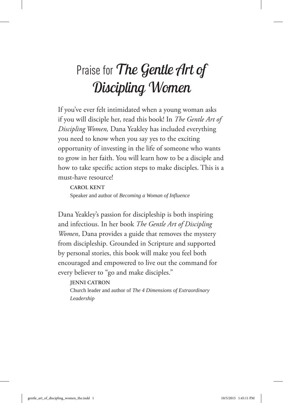## Praise for *The Gentle Art of Discipling Women*

If you've ever felt intimidated when a young woman asks if you will disciple her, read this book! In *The Gentle Art of Discipling Women,* Dana Yeakley has included everything you need to know when you say yes to the exciting opportunity of investing in the life of someone who wants to grow in her faith. You will learn how to be a disciple and how to take specific action steps to make disciples. This is a must-have resource!

**CAROL KENT** Speaker and author of *Becoming a Woman of Influence*

Dana Yeakley's passion for discipleship is both inspiring and infectious. In her book *The Gentle Art of Discipling Women*, Dana provides a guide that removes the mystery from discipleship. Grounded in Scripture and supported by personal stories, this book will make you feel both encouraged and empowered to live out the command for every believer to "go and make disciples."

#### **JENNI CATRON**

Church leader and author of *The 4 Dimensions of Extraordinary Leadership*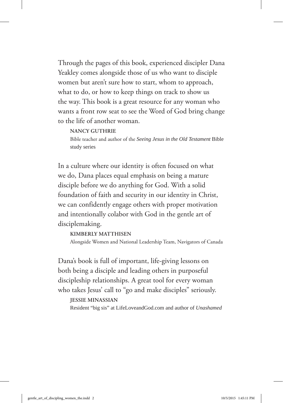Through the pages of this book, experienced discipler Dana Yeakley comes alongside those of us who want to disciple women but aren't sure how to start, whom to approach, what to do, or how to keep things on track to show us the way. This book is a great resource for any woman who wants a front row seat to see the Word of God bring change to the life of another woman.

#### **NANCY GUTHRIE**

Bible teacher and author of the *Seeing Jesus in the Old Testament* Bible study series

In a culture where our identity is often focused on what we do, Dana places equal emphasis on being a mature disciple before we do anything for God. With a solid foundation of faith and security in our identity in Christ, we can confidently engage others with proper motivation and intentionally colabor with God in the gentle art of disciplemaking.

#### **KIMBERLY MATTHISEN**

Alongside Women and National Leadership Team, Navigators of Canada

Dana's book is full of important, life-giving lessons on both being a disciple and leading others in purposeful discipleship relationships. A great tool for every woman who takes Jesus' call to "go and make disciples" seriously.

#### **JESSIE MINASSIAN**

Resident "big sis" at LifeLoveandGod.com and author of *Unashamed*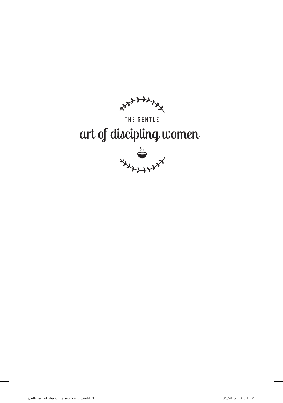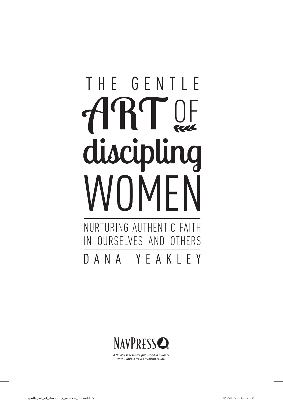# THE GENTLE ARTI discipling WOMFN NURTURING AUTHENTIC FAITH IN OURSELVES AND OTHERS DANA YEAKLEY



*A NavPress resource published in alliance with Tyndale House Publishers, Inc.*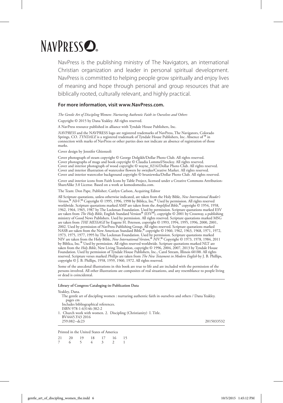## NAVPRESSO.

NavPress is the publishing ministry of The Navigators, an international Christian organization and leader in personal spiritual development. NavPress is committed to helping people grow spiritually and enjoy lives of meaning and hope through personal and group resources that are biblically rooted, culturally relevant, and highly practical.

#### **For more information, visit www.NavPress.com.**

*The Gentle Art of Discipling Women: Nurturing Authentic Faith in Ourselves and Others*

Copyright © 2015 by Dana Yeakley. All rights reserved.

A NavPress resource published in alliance with Tyndale House Publishers, Inc.

*NAVPRESS* and the NAVPRESS logo are registered trademarks of NavPress, The Navigators, Colorado Springs, CO. TYNDALE is a registered trademark of Tyndale House Publishers, Inc. Absence of connection with marks of NavPress or other parties does not indicate an absence of registration of those marks.

Cover design by Jennifer Ghionzoli

Cover photograph of steam copyright © George Dolgikh/Dollar Photo Club. All rights reserved. Cover photographs of mugs and book copyright © Claudia Lommel/Stocksy. All rights reserved. Cover and interior photograph of wood copyright © wayne\_0216/Dollar Photo Club. All rights reserved. Cover and interior illustration of watercolor flowers by swiejko/Creative Market. All rights reserved. Cover and interior watercolor background copyright © bruniewska/Dollar Photo Club. All rights reserved.

Cover and interior icons from Faith Icons by Table Project, licensed under a Creative Commons Attribution-ShareAlike 3.0 License. Based on a work at komodomedia.com.

The Team: Don Pape, Publisher; Caitlyn Carlson, Acquiring Editor

All Scripture quotations, unless otherwise indicated, are taken from the Holy Bible, *New International Reader's*<br>Version<sup>s</sup> NIN<sup>N</sup>® Copyright © 1995, 1996, 1998 by Biblica, Inc.® Used by permission. All rights reserved<br>ww worldwide. Scripture quotations marked AMP are taken from the *Amplified Bible*,® copyright © 1954, 1958,<br>1962, 1966, 1965, 1987 by The Leghnere Francheige, Used by negativize, Seringue questions marked ESS 1962, 1964, 1965, 1987 by The Lockman Foundation. Used by permission. Scripture quotations marked ESV<br>are taken from *The Holy Bible*, English Standard Version® (ESV®), copyright © 2001 by Crossway, a publishing<br>misitem o ministry of Good News Publishers. Used by permission. All rights reserved. Scripture quotations marked MSG are taken from *THE MESSAGE* by Eugene H. Peterson, copyright © 1993, 1994, 1995, 1996, 2000, 2001, 2002. Used by permission of NavPress Publishing Group. All rights reserved. Scripture quotations marked 2012, 1963, 1971, 1972, 2008, 1971, 1972, 2008, 1971, 1972, 2008, 1971, 1972, 2008, 1971, 1972, 2008, 1971, 1972, 2008 1973, 1975, 1977, 1995 by The Lockman Foundation. Used by permission. Scripture quotations marked<br>NIV are taken from the Holy Bible, *New International Version*,® *NIV.*® Copyright © 1973, 1978, 1984, 2011<br>by Biblica, Inc. taken from the *Holy Bible*, New Living Translation, copyright © 1996, 2004, 2007, 2013 by Tyndale House<br>Foundation. Used by permission of Tyndale House Publishers, Inc., Carol Stream, Illinois 60188. All rights reserved. Scripture verses marked *Phillips* are taken from *The New Testament in Modern English* by J. B. Phillips, copyright © J. B. Phillips, 1958, 1959, 1960, 1972. All rights reserved.

Some of the anecdotal illustrations in this book are true to life and are included with the permission of the persons involved. All other illustrations are composites of real situations, and any resemblance to people living or dead is coincidental.

#### **Library of Congress Cataloging-in-Publication Data**

Yeakley, Dana.

The gentle art of discipling women : nurturing authentic faith in ourselves and others / Dana Yeakley. pages cm Includes bibliographical references. ISBN 978-1-63146-382-2 1. Church work with women. 2. Discipling (Christianity) I. Title. BV4445.Y43 2016 259.082--dc23 2015033532

Printed in the United States of America

|  |  |       | 21  20  19  18  17  16  15 |  |
|--|--|-------|----------------------------|--|
|  |  | 4 3 2 |                            |  |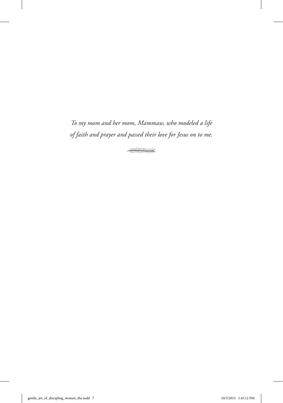*To my mom and her mom, Mammaw, who modeled a life of faith and prayer and passed their love for Jesus on to me.*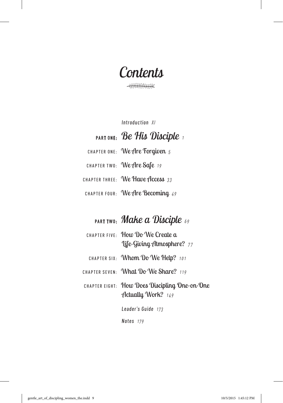*Contents*

 $\begin{picture}(100,10) \put(0,0){\vector(0,1){20}} \put(10,0){\vector(0,1){20}} \put(10,0){\vector(0,1){20}} \put(10,0){\vector(0,1){20}} \put(10,0){\vector(0,1){20}} \put(10,0){\vector(0,1){20}} \put(10,0){\vector(0,1){20}} \put(10,0){\vector(0,1){20}} \put(10,0){\vector(0,1){20}} \put(10,0){\vector(0,1){20}} \put(10,0){\vector(0,1){20}} \put(10,0){\vector($ 

Introduction XI

### PART ONE: Be His Disciple

CHAPTER ONE: We Are Forgiven  $5$ 

CHAPTER TWO: We Are Safe 19

- CHAPTER THREE: We Have Access 33
	- CHAPTER FOUR: We Are Becoming 49

### PART TWO: Make a Disciple 69

| CHAPTER FIVE: How Do We Create a<br>Ufe-Giving Atmosphere? 77              |
|----------------------------------------------------------------------------|
| CHAPTER SIX: Whom Do We Help? 101                                          |
| chapter seven: $\,$ What Do We Share? $\,$ 119 $\,$                        |
| CHAPTER EIGHT: How Does Discipling One-on-One<br><b>Actually Work?</b> 149 |
| Leader's Guide 173                                                         |
| Notes 179                                                                  |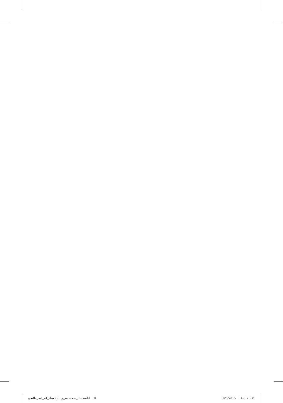I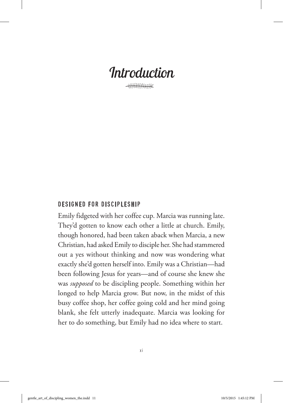

#### DESIGNED FOR DISCIPLESHIP

Emily fidgeted with her coffee cup. Marcia was running late. They'd gotten to know each other a little at church. Emily, though honored, had been taken aback when Marcia, a new Christian, had asked Emily to disciple her. She had stammered out a yes without thinking and now was wondering what exactly she'd gotten herself into. Emily was a Christian—had been following Jesus for years—and of course she knew she was *supposed* to be discipling people. Something within her longed to help Marcia grow. But now, in the midst of this busy coffee shop, her coffee going cold and her mind going blank, she felt utterly inadequate. Marcia was looking for her to do something, but Emily had no idea where to start.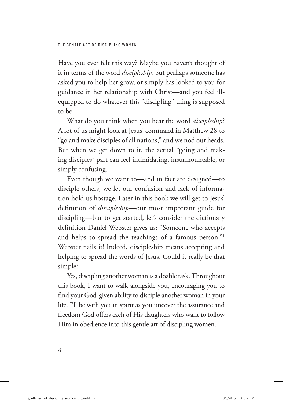Have you ever felt this way? Maybe you haven't thought of it in terms of the word *discipleship*, but perhaps someone has asked you to help her grow, or simply has looked to you for guidance in her relationship with Christ—and you feel illequipped to do whatever this "discipling" thing is supposed to be.

What do you think when you hear the word *discipleship*? A lot of us might look at Jesus' command in Matthew 28 to "go and make disciples of all nations," and we nod our heads. But when we get down to it, the actual "going and making disciples" part can feel intimidating, insurmountable, or simply confusing.

Even though we want to—and in fact are designed—to disciple others, we let our confusion and lack of information hold us hostage. Later in this book we will get to Jesus' definition of *discipleship*— our most important guide for discipling— but to get started, let's consider the dictionary definition Daniel Webster gives us: "Someone who accepts and helps to spread the teachings of a famous person."1 Webster nails it! Indeed, discipleship means accepting and helping to spread the words of Jesus. Could it really be that simple?

Yes, discipling another woman is a doable task. Throughout this book, I want to walk alongside you, encouraging you to find your God-given ability to disciple another woman in your life. I'll be with you in spirit as you uncover the assurance and freedom God offers each of His daughters who want to follow Him in obedience into this gentle art of discipling women.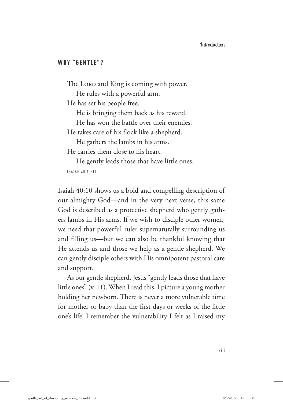#### WHY "GENTLE"?

The Lord and King is coming with power.

He rules with a powerful arm.

He has set his people free.

He is bringing them back as his reward.

He has won the battle over their enemies.

He takes care of his flock like a shepherd.

He gathers the lambs in his arms. He carries them close to his heart.

He gently leads those that have little ones. ISAIAH 40:10-11

Isaiah 40:10 shows us a bold and compelling description of our almighty God— and in the very next verse, this same God is described as a protective shepherd who gently gathers lambs in His arms. If we wish to disciple other women, we need that powerful ruler supernaturally surrounding us and filling us— but we can also be thankful knowing that He attends us and those we help as a gentle shepherd. We can gently disciple others with His omnipotent pastoral care and support.

As our gentle shepherd, Jesus "gently leads those that have little ones" (v. 11). When I read this, I picture a young mother holding her newborn. There is never a more vulnerable time for mother or baby than the first days or weeks of the little one's life! I remember the vulnerability I felt as I raised my

xiii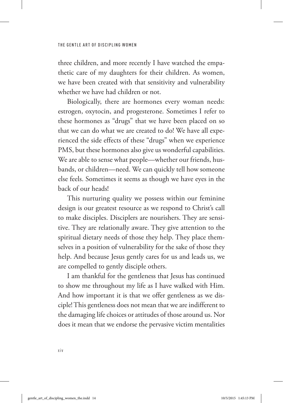three children, and more recently I have watched the empathetic care of my daughters for their children. As women, we have been created with that sensitivity and vulnerability whether we have had children or not.

Biologically, there are hormones every woman needs: estrogen, oxytocin, and progesterone. Sometimes I refer to these hormones as "drugs" that we have been placed on so that we can do what we are created to do! We have all experienced the side effects of these "drugs" when we experience PMS, but these hormones also give us wonderful capabilities. We are able to sense what people—whether our friends, husbands, or children—need. We can quickly tell how someone else feels. Sometimes it seems as though we have eyes in the back of our heads!

This nurturing quality we possess within our feminine design is our greatest resource as we respond to Christ's call to make disciples. Disciplers are nourishers. They are sensitive. They are relationally aware. They give attention to the spiritual dietary needs of those they help. They place themselves in a position of vulnerability for the sake of those they help. And because Jesus gently cares for us and leads us, we are compelled to gently disciple others.

I am thankful for the gentleness that Jesus has continued to show me throughout my life as I have walked with Him. And how important it is that we offer gentleness as we disciple! This gentleness does not mean that we are indifferent to the damaging life choices or attitudes of those around us. Nor does it mean that we endorse the pervasive victim mentalities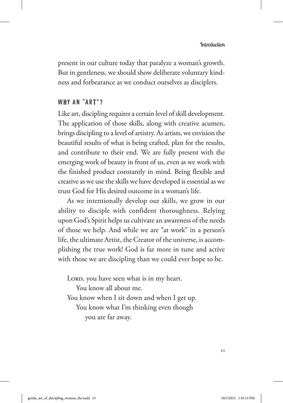present in our culture today that paralyze a woman's growth. But in gentleness, we should show deliberate voluntary kindness and forbearance as we conduct ourselves as disciplers.

#### WHY AN "ART"?

Like art, discipling requires a certain level of skill development. The application of those skills, along with creative acumen, brings discipling to a level of artistry. As artists, we envision the beautiful results of what is being crafted, plan for the results, and contribute to their end. We are fully present with the emerging work of beauty in front of us, even as we work with the finished product constantly in mind. Being flexible and creative as we use the skills we have developed is essential as we trust God for His desired outcome in a woman's life.

As we intentionally develop our skills, we grow in our ability to disciple with confident thoroughness. Relying upon God's Spirit helps us cultivate an awareness of the needs of those we help. And while we are "at work" in a person's life, the ultimate Artist, the Creator of the universe, is accomplishing the true work! God is far more in tune and active with those we are discipling than we could ever hope to be.

LORD, you have seen what is in my heart.

You know all about me.

You know when I sit down and when I get up.

You know what I'm thinking even though

you are far away.

x v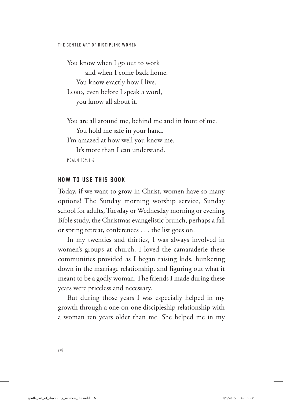#### THE GENTLE ART OF DISCIPLING WOMEN

You know when I go out to work and when I come back home. You know exactly how I live. Lord, even before I speak a word, you know all about it.

You are all around me, behind me and in front of me.

You hold me safe in your hand.

I'm amazed at how well you know me.

It's more than I can understand.

PSALM 139:1-6

#### HOW TO USE THIS BOOK

Today, if we want to grow in Christ, women have so many options! The Sunday morning worship service, Sunday school for adults, Tuesday or Wednesday morning or evening Bible study, the Christmas evangelistic brunch, perhaps a fall or spring retreat, conferences . . . the list goes on.

In my twenties and thirties, I was always involved in women's groups at church. I loved the camaraderie these communities provided as I began raising kids, hunkering down in the marriage relationship, and figuring out what it meant to be a godly woman. The friends I made during these years were priceless and necessary.

But during those years I was especially helped in my growth through a one-on-one discipleship relationship with a woman ten years older than me. She helped me in my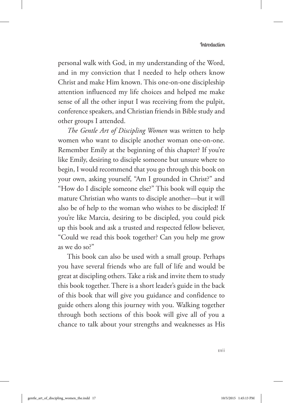personal walk with God, in my understanding of the Word, and in my conviction that I needed to help others know Christ and make Him known. This one-on-one discipleship attention influenced my life choices and helped me make sense of all the other input I was receiving from the pulpit, conference speakers, and Christian friends in Bible study and other groups I attended.

*The Gentle Art of Discipling Women* was written to help women who want to disciple another woman one-on-one. Remember Emily at the beginning of this chapter? If you're like Emily, desiring to disciple someone but unsure where to begin, I would recommend that you go through this book on your own, asking yourself, "Am I grounded in Christ?" and "How do I disciple someone else?" This book will equip the mature Christian who wants to disciple another—but it will also be of help to the woman who wishes to be discipled! If you're like Marcia, desiring to be discipled, you could pick up this book and ask a trusted and respected fellow believer, "Could we read this book together? Can you help me grow as we do so?"

This book can also be used with a small group. Perhaps you have several friends who are full of life and would be great at discipling others. Take a risk and invite them to study this book together. There is a short leader's guide in the back of this book that will give you guidance and confidence to guide others along this journey with you. Walking together through both sections of this book will give all of you a chance to talk about your strengths and weaknesses as His

xvii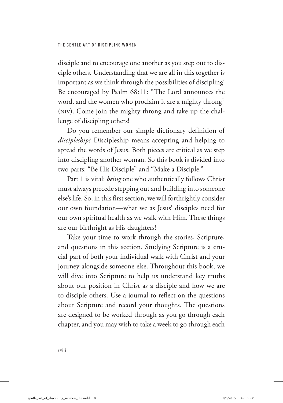#### THE GENTLE ART OF DISCIPLING WOMEN

disciple and to encourage one another as you step out to disciple others. Understanding that we are all in this together is important as we think through the possibilities of discipling! Be encouraged by Psalm 68:11: "The Lord announces the word, and the women who proclaim it are a mighty throng" (niv). Come join the mighty throng and take up the challenge of discipling others!

Do you remember our simple dictionary definition of *discipleship*? Discipleship means accepting and helping to spread the words of Jesus. Both pieces are critical as we step into discipling another woman. So this book is divided into two parts: "Be His Disciple" and "Make a Disciple."

Part 1 is vital: *being* one who authentically follows Christ must always precede stepping out and building into someone else's life. So, in this first section, we will forthrightly consider our own foundation— what we as Jesus' disciples need for our own spiritual health as we walk with Him. These things are our birthright as His daughters!

Take your time to work through the stories, Scripture, and questions in this section. Studying Scripture is a crucial part of both your individual walk with Christ and your journey alongside someone else. Throughout this book, we will dive into Scripture to help us understand key truths about our position in Christ as a disciple and how we are to disciple others. Use a journal to reflect on the questions about Scripture and record your thoughts. The questions are designed to be worked through as you go through each chapter, and you may wish to take a week to go through each

xviii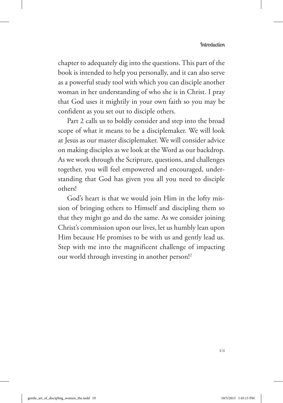#### **Introduction**

chapter to adequately dig into the questions. This part of the book is intended to help you personally, and it can also serve as a powerful study tool with which you can disciple another woman in her understanding of who she is in Christ. I pray that God uses it mightily in your own faith so you may be confident as you set out to disciple others.

Part 2 calls us to boldly consider and step into the broad scope of what it means to be a disciplemaker. We will look at Jesus as our master disciplemaker. We will consider advice on making disciples as we look at the Word as our backdrop. As we work through the Scripture, questions, and challenges together, you will feel empowered and encouraged, understanding that God has given you all you need to disciple others!

God's heart is that we would join Him in the lofty mission of bringing others to Himself and discipling them so that they might go and do the same. As we consider joining Christ's commission upon our lives, let us humbly lean upon Him because He promises to be with us and gently lead us. Step with me into the magnificent challenge of impacting our world through investing in another person!2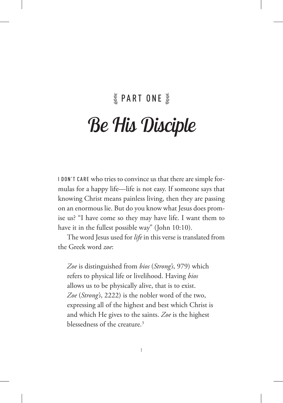## **VART ONE &** *Be His Disciple*

I DON'T CARE who tries to convince us that there are simple formulas for a happy life—life is not easy. If someone says that knowing Christ means painless living, then they are passing on an enormous lie. But do you know what Jesus does promise us? "I have come so they may have life. I want them to have it in the fullest possible way" (John 10:10).

The word Jesus used for *life* in this verse is translated from the Greek word *zoe*:

*Zoe* is distinguished from *bios* (*Strong's*, 979) which refers to physical life or livelihood. Having *bios* allows us to be physically alive, that is to exist. *Zoe* (*Strong's*, 2222) is the nobler word of the two, expressing all of the highest and best which Christ is and which He gives to the saints. *Zoe* is the highest blessedness of the creature.<sup>3</sup>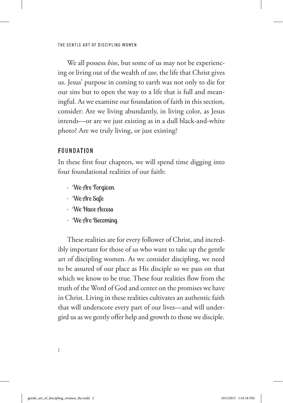We all possess *bios*, but some of us may not be experiencing or living out of the wealth of *zoe*, the life that Christ gives us. Jesus' purpose in coming to earth was not only to die for our sins but to open the way to a life that is full and meaningful. As we examine our foundation of faith in this section, consider: Are we living abundantly, in living color, as Jesus intends—or are we just existing as in a dull black-and-white photo? Are we truly living, or just existing?

#### FOUNDATION

In these first four chapters, we will spend time digging into four foundational realities of our faith:

- We Are Forgiven
- We Are Safe
- We Have Access
- We Are Becoming

These realities are for every follower of Christ, and incredibly important for those of us who want to take up the gentle art of discipling women. As we consider discipling, we need to be assured of our place as His disciple so we pass on that which we know to be true. These four realities flow from the truth of the Word of God and center on the promises we have in Christ. Living in these realities cultivates an authentic faith that will underscore every part of our lives—and will undergird us as we gently offer help and growth to those we disciple.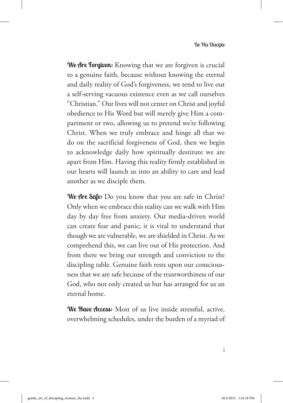**We Are Forgiven:** Knowing that we are forgiven is crucial to a genuine faith, because without knowing the eternal and daily reality of God's forgiveness, we tend to live out a self-serving vacuous existence even as we call ourselves "Christian." Our lives will not center on Christ and joyful obedience to His Word but will merely give Him a compartment or two, allowing us to pretend we're following Christ. When we truly embrace and hinge all that we do on the sacrificial forgiveness of God, then we begin to acknowledge daily how spiritually destitute we are apart from Him. Having this reality firmly established in our hearts will launch us into an ability to care and lead another as we disciple them.

**We Are Safe:** Do you know that you are safe in Christ? Only when we embrace this reality can we walk with Him day by day free from anxiety. Our media- driven world can create fear and panic; it is vital to understand that though we are vulnerable, we are shielded in Christ. As we comprehend this, we can live out of His protection. And from there we bring our strength and conviction to the discipling table. Genuine faith rests upon our consciousness that we are safe because of the trustworthiness of our God, who not only created us but has arranged for us an eternal home.

**We Have Access:** Most of us live inside stressful, active, overwhelming schedules, under the burden of a myriad of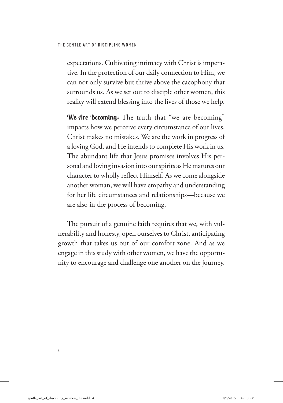expectations. Cultivating intimacy with Christ is imperative. In the protection of our daily connection to Him, we can not only survive but thrive above the cacophony that surrounds us. As we set out to disciple other women, this reality will extend blessing into the lives of those we help.

**We Are Becoming:** The truth that "we are becoming" impacts how we perceive every circumstance of our lives. Christ makes no mistakes. We are the work in progress of a loving God, and He intends to complete His work in us. The abundant life that Jesus promises involves His personal and loving invasion into our spirits as He matures our character to wholly reflect Himself. As we come alongside another woman, we will have empathy and understanding for her life circumstances and relationships—because we are also in the process of becoming.

The pursuit of a genuine faith requires that we, with vulnerability and honesty, open ourselves to Christ, anticipating growth that takes us out of our comfort zone. And as we engage in this study with other women, we have the opportunity to encourage and challenge one another on the journey.

4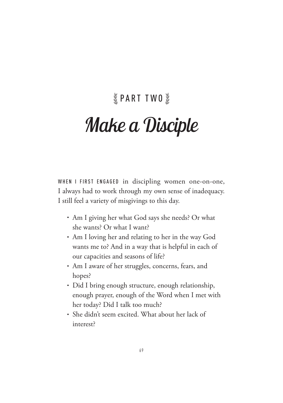## **VERT TWO**

## *Make a Disciple*

WHEN I FIRST ENGAGED in discipling women one-on-one, I always had to work through my own sense of inadequacy. I still feel a variety of misgivings to this day.

- Am I giving her what God says she needs? Or what she wants? Or what I want?
- Am I loving her and relating to her in the way God wants me to? And in a way that is helpful in each of our capacities and seasons of life?
- Am I aware of her struggles, concerns, fears, and hopes?
- Did I bring enough structure, enough relationship, enough prayer, enough of the Word when I met with her today? Did I talk too much?
- She didn't seem excited. What about her lack of interest?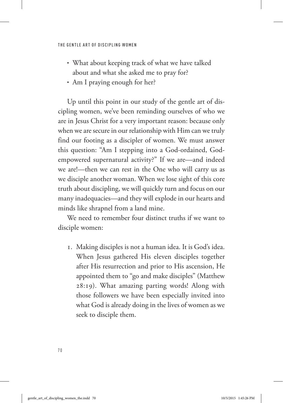- What about keeping track of what we have talked about and what she asked me to pray for?
- Am I praying enough for her?

Up until this point in our study of the gentle art of discipling women, we've been reminding ourselves of who we are in Jesus Christ for a very important reason: because only when we are secure in our relationship with Him can we truly find our footing as a discipler of women. We must answer this question: "Am I stepping into a God- ordained, Godempowered supernatural activity?" If we are— and indeed we are!—then we can rest in the One who will carry us as we disciple another woman. When we lose sight of this core truth about discipling, we will quickly turn and focus on our many inadequacies—and they will explode in our hearts and minds like shrapnel from a land mine.

We need to remember four distinct truths if we want to disciple women:

1. Making disciples is not a human idea. It is God's idea. When Jesus gathered His eleven disciples together after His resurrection and prior to His ascension, He appointed them to "go and make disciples" (Matthew 28:19). What amazing parting words! Along with those followers we have been especially invited into what God is already doing in the lives of women as we seek to disciple them.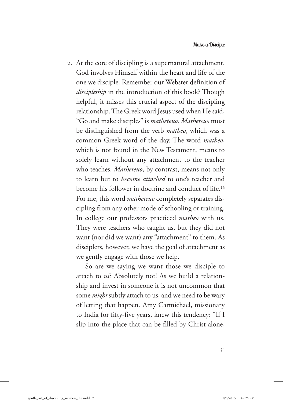2. At the core of discipling is a supernatural attachment. God involves Himself within the heart and life of the one we disciple. Remember our Webster definition of *discipleship* in the introduction of this book? Though helpful, it misses this crucial aspect of the discipling relationship. The Greek word Jesus used when He said, "Go and make disciples" is *matheteuo*. *Matheteuo* must be distinguished from the verb *matheo*, which was a common Greek word of the day. The word *matheo*, which is not found in the New Testament, means to solely learn without any attachment to the teacher who teaches. *Matheteuo*, by contrast, means not only to learn but to *become attached* to one's teacher and become his follower in doctrine and conduct of life.<sup>14</sup> For me, this word *matheteuo* completely separates discipling from any other mode of schooling or training. In college our professors practiced *matheo* with us. They were teachers who taught us, but they did not want (nor did we want) any "attachment" to them. As disciplers, however, we have the goal of attachment as we gently engage with those we help.

So are we saying we want those we disciple to attach to *us*? Absolutely not! As we build a relationship and invest in someone it is not uncommon that some *might* subtly attach to us, and we need to be wary of letting that happen. Amy Carmichael, missionary to India for fifty-five years, knew this tendency: "If I slip into the place that can be filled by Christ alone,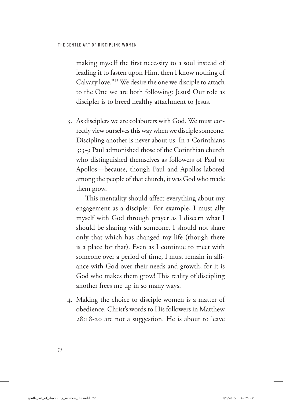making myself the first necessity to a soul instead of leading it to fasten upon Him, then I know nothing of Calvary love."15 We desire the one we disciple to attach to the One we are both following: Jesus! Our role as discipler is to breed healthy attachment to Jesus.

3. As disciplers we are colaborers with God. We must correctly view ourselves this way when we disciple someone. Discipling another is never about us. In 1 Corinthians 3:3-9 Paul admonished those of the Corinthian church who distinguished themselves as followers of Paul or Apollos— because, though Paul and Apollos labored among the people of that church, it was God who made them grow.

This mentality should affect everything about my engagement as a discipler. For example, I must ally myself with God through prayer as I discern what I should be sharing with someone. I should not share only that which has changed my life (though there is a place for that). Even as I continue to meet with someone over a period of time, I must remain in alliance with God over their needs and growth, for it is God who makes them grow! This reality of discipling another frees me up in so many ways.

4. Making the choice to disciple women is a matter of obedience. Christ's words to His followers in Matthew 28:18-20 are not a suggestion. He is about to leave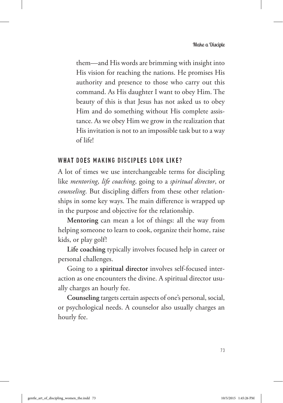them—and His words are brimming with insight into His vision for reaching the nations. He promises His authority and presence to those who carry out this command. As His daughter I want to obey Him. The beauty of this is that Jesus has not asked us to obey Him and do something without His complete assistance. As we obey Him we grow in the realization that His invitation is not to an impossible task but to a way of life!

#### WHAT DOES MAKING DISCIPLES LOOK LIKE?

A lot of times we use interchangeable terms for discipling like *mentoring*, *life coaching*, going to a *spiritual director*, or *counseling*. But discipling differs from these other relationships in some key ways. The main difference is wrapped up in the purpose and objective for the relationship.

**Mentoring** can mean a lot of things: all the way from helping someone to learn to cook, organize their home, raise kids, or play golf!

**Life coaching** typically involves focused help in career or personal challenges.

Going to a **spiritual director** involves self-focused interaction as one encounters the divine. A spiritual director usually charges an hourly fee.

**Counseling** targets certain aspects of one's personal, social, or psychological needs. A counselor also usually charges an hourly fee.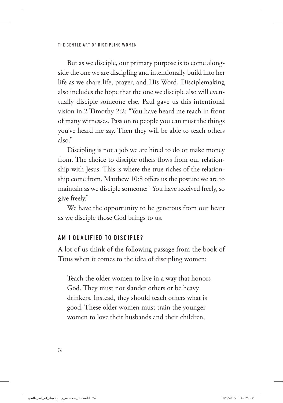But as we disciple, our primary purpose is to come alongside the one we are discipling and intentionally build into her life as we share life, prayer, and His Word. Disciplemaking also includes the hope that the one we disciple also will eventually disciple someone else. Paul gave us this intentional vision in 2 Timothy 2:2: "You have heard me teach in front of many witnesses. Pass on to people you can trust the things you've heard me say. Then they will be able to teach others also."

Discipling is not a job we are hired to do or make money from. The choice to disciple others flows from our relationship with Jesus. This is where the true riches of the relationship come from. Matthew 10:8 offers us the posture we are to maintain as we disciple someone: "You have received freely, so give freely."

We have the opportunity to be generous from our heart as we disciple those God brings to us.

#### AM I QUALIFIED TO DISCIPLE?

A lot of us think of the following passage from the book of Titus when it comes to the idea of discipling women:

Teach the older women to live in a way that honors God. They must not slander others or be heavy drinkers. Instead, they should teach others what is good. These older women must train the younger women to love their husbands and their children,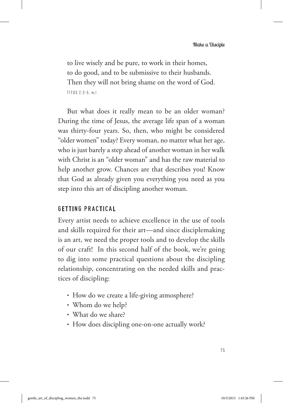to live wisely and be pure, to work in their homes, to do good, and to be submissive to their husbands. Then they will not bring shame on the word of God. TITUS 2:3-5, NLT

But what does it really mean to be an older woman? During the time of Jesus, the average life span of a woman was thirty-four years. So, then, who might be considered "older women" today? Every woman, no matter what her age, who is just barely a step ahead of another woman in her walk with Christ is an "older woman" and has the raw material to help another grow. Chances are that describes you! Know that God as already given you everything you need as you step into this art of discipling another woman.

#### GETTING PRACTICAL

Every artist needs to achieve excellence in the use of tools and skills required for their art—and since disciplemaking is an art, we need the proper tools and to develop the skills of our craft! In this second half of the book, we're going to dig into some practical questions about the discipling relationship, concentrating on the needed skills and practices of discipling:

- How do we create a life-giving atmosphere?
- Whom do we help?
- What do we share?
- How does discipling one-on-one actually work?